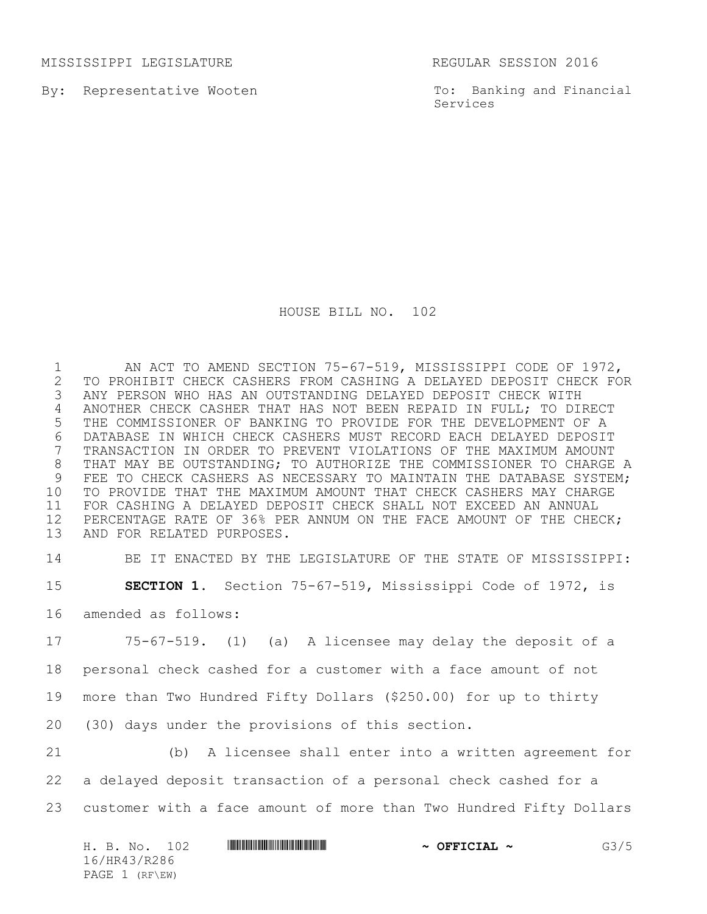MISSISSIPPI LEGISLATURE REGULAR SESSION 2016

By: Representative Wooten

To: Banking and Financial Services

HOUSE BILL NO. 102

 AN ACT TO AMEND SECTION 75-67-519, MISSISSIPPI CODE OF 1972, 2 TO PROHIBIT CHECK CASHERS FROM CASHING A DELAYED DEPOSIT CHECK FOR<br>3 ANY PERSON WHO HAS AN OUTSTANDING DELAYED DEPOSIT CHECK WITH ANY PERSON WHO HAS AN OUTSTANDING DELAYED DEPOSIT CHECK WITH ANOTHER CHECK CASHER THAT HAS NOT BEEN REPAID IN FULL; TO DIRECT THE COMMISSIONER OF BANKING TO PROVIDE FOR THE DEVELOPMENT OF A 6 DATABASE IN WHICH CHECK CASHERS MUST RECORD EACH DELAYED DEPOSIT<br>7 TRANSACTION IN ORDER TO PREVENT VIOLATIONS OF THE MAXIMUM AMOUNT TRANSACTION IN ORDER TO PREVENT VIOLATIONS OF THE MAXIMUM AMOUNT THAT MAY BE OUTSTANDING; TO AUTHORIZE THE COMMISSIONER TO CHARGE A 9 FEE TO CHECK CASHERS AS NECESSARY TO MAINTAIN THE DATABASE SYSTEM: TO PROVIDE THAT THE MAXIMUM AMOUNT THAT CHECK CASHERS MAY CHARGE FOR CASHING A DELAYED DEPOSIT CHECK SHALL NOT EXCEED AN ANNUAL PERCENTAGE RATE OF 36% PER ANNUM ON THE FACE AMOUNT OF THE CHECK; AND FOR RELATED PURPOSES.

 BE IT ENACTED BY THE LEGISLATURE OF THE STATE OF MISSISSIPPI: **SECTION 1.** Section 75-67-519, Mississippi Code of 1972, is amended as follows:

 75-67-519. (1) (a) A licensee may delay the deposit of a personal check cashed for a customer with a face amount of not more than Two Hundred Fifty Dollars (\$250.00) for up to thirty (30) days under the provisions of this section.

 (b) A licensee shall enter into a written agreement for a delayed deposit transaction of a personal check cashed for a customer with a face amount of more than Two Hundred Fifty Dollars

| H. B. No.      | <u> I III III III III III III III II III II III III III III III III III III III III III III III III III III III</u><br>102 | $\sim$ OFFICIAL $\sim$ | G3/5 |
|----------------|----------------------------------------------------------------------------------------------------------------------------|------------------------|------|
| 16/HR43/R286   |                                                                                                                            |                        |      |
| PAGE 1 (RF\EW) |                                                                                                                            |                        |      |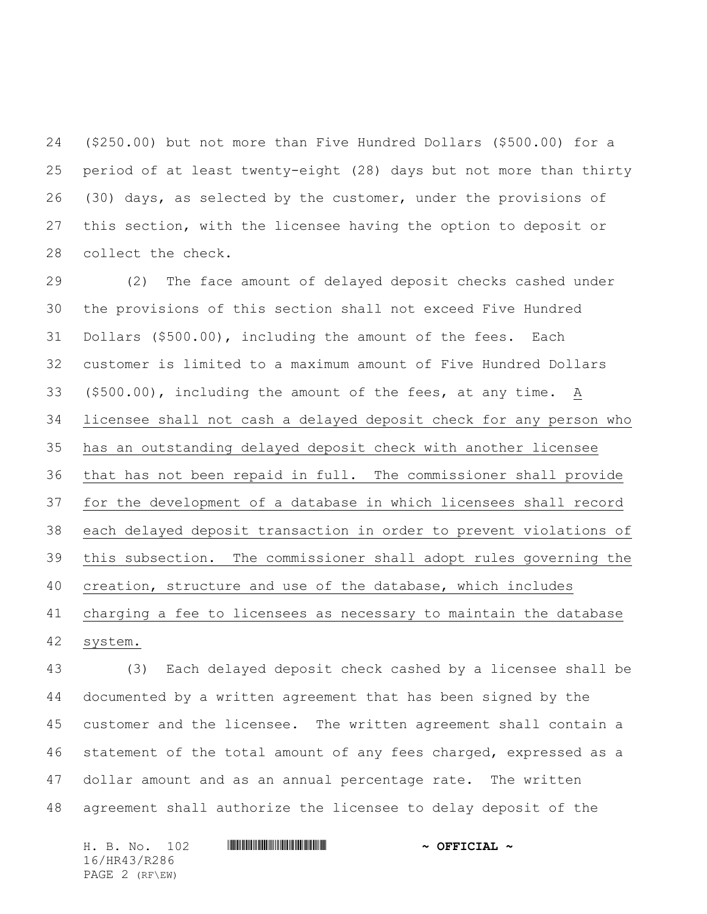(\$250.00) but not more than Five Hundred Dollars (\$500.00) for a period of at least twenty-eight (28) days but not more than thirty (30) days, as selected by the customer, under the provisions of this section, with the licensee having the option to deposit or collect the check.

 (2) The face amount of delayed deposit checks cashed under the provisions of this section shall not exceed Five Hundred Dollars (\$500.00), including the amount of the fees. Each customer is limited to a maximum amount of Five Hundred Dollars (\$500.00), including the amount of the fees, at any time. A licensee shall not cash a delayed deposit check for any person who has an outstanding delayed deposit check with another licensee that has not been repaid in full. The commissioner shall provide for the development of a database in which licensees shall record each delayed deposit transaction in order to prevent violations of this subsection. The commissioner shall adopt rules governing the creation, structure and use of the database, which includes charging a fee to licensees as necessary to maintain the database system.

 (3) Each delayed deposit check cashed by a licensee shall be documented by a written agreement that has been signed by the customer and the licensee. The written agreement shall contain a 46 statement of the total amount of any fees charged, expressed as a dollar amount and as an annual percentage rate. The written agreement shall authorize the licensee to delay deposit of the

H. B. No. 102 \*HR43/R286\* **~ OFFICIAL ~** 16/HR43/R286 PAGE 2 (RF\EW)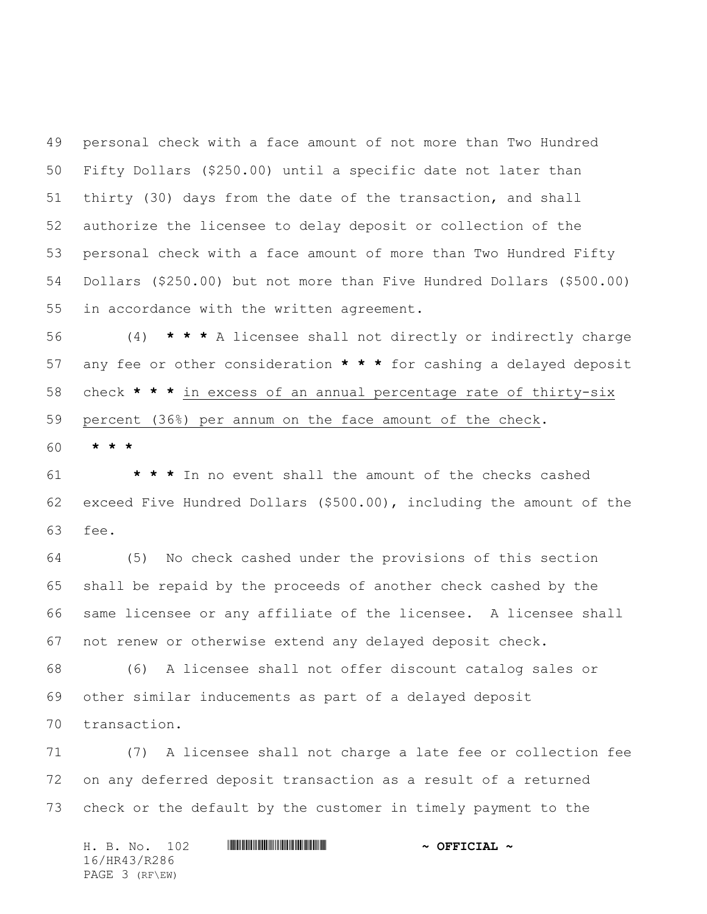personal check with a face amount of not more than Two Hundred Fifty Dollars (\$250.00) until a specific date not later than thirty (30) days from the date of the transaction, and shall authorize the licensee to delay deposit or collection of the personal check with a face amount of more than Two Hundred Fifty Dollars (\$250.00) but not more than Five Hundred Dollars (\$500.00) in accordance with the written agreement.

 (4) **\* \* \*** A licensee shall not directly or indirectly charge any fee or other consideration **\* \* \*** for cashing a delayed deposit check **\* \* \*** in excess of an annual percentage rate of thirty-six percent (36%) per annum on the face amount of the check.

**\* \* \***

 **\* \* \*** In no event shall the amount of the checks cashed exceed Five Hundred Dollars (\$500.00), including the amount of the fee.

 (5) No check cashed under the provisions of this section shall be repaid by the proceeds of another check cashed by the same licensee or any affiliate of the licensee. A licensee shall not renew or otherwise extend any delayed deposit check.

 (6) A licensee shall not offer discount catalog sales or other similar inducements as part of a delayed deposit transaction.

 (7) A licensee shall not charge a late fee or collection fee on any deferred deposit transaction as a result of a returned check or the default by the customer in timely payment to the

|              |  | H. B. No. 102  |  |  | $\sim$ OFFICIAL $\sim$ |  |
|--------------|--|----------------|--|--|------------------------|--|
| 16/HR43/R286 |  |                |  |  |                        |  |
|              |  | PAGE 3 (RF\EW) |  |  |                        |  |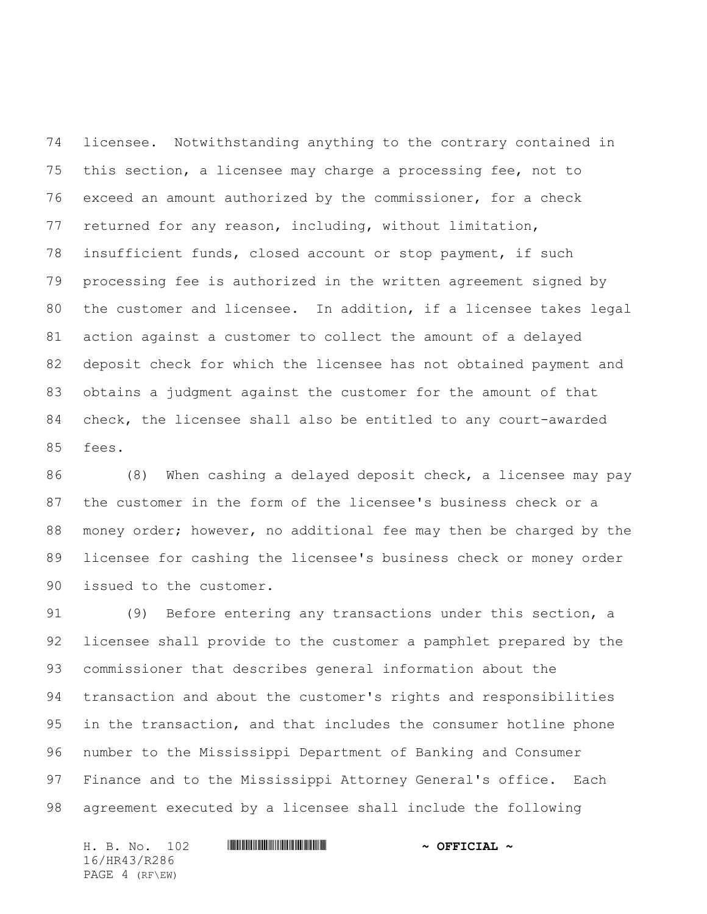licensee. Notwithstanding anything to the contrary contained in this section, a licensee may charge a processing fee, not to exceed an amount authorized by the commissioner, for a check returned for any reason, including, without limitation, insufficient funds, closed account or stop payment, if such processing fee is authorized in the written agreement signed by the customer and licensee. In addition, if a licensee takes legal action against a customer to collect the amount of a delayed deposit check for which the licensee has not obtained payment and obtains a judgment against the customer for the amount of that check, the licensee shall also be entitled to any court-awarded fees.

 (8) When cashing a delayed deposit check, a licensee may pay the customer in the form of the licensee's business check or a money order; however, no additional fee may then be charged by the licensee for cashing the licensee's business check or money order issued to the customer.

 (9) Before entering any transactions under this section, a licensee shall provide to the customer a pamphlet prepared by the commissioner that describes general information about the transaction and about the customer's rights and responsibilities in the transaction, and that includes the consumer hotline phone number to the Mississippi Department of Banking and Consumer Finance and to the Mississippi Attorney General's office. Each agreement executed by a licensee shall include the following

H. B. No. 102 \*HR43/R286\* **~ OFFICIAL ~** 16/HR43/R286 PAGE 4 (RF\EW)